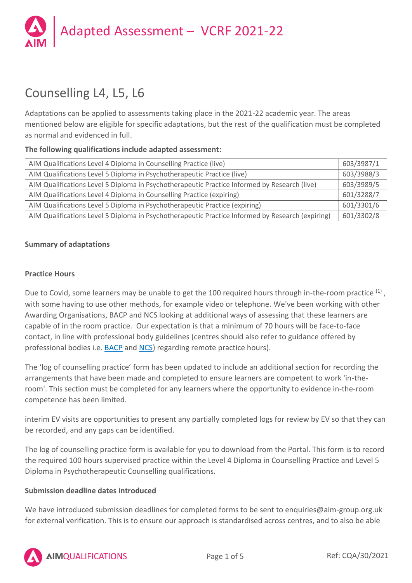

# Counselling L4, L5, L6

Adaptations can be applied to assessments taking place in the 2021-22 academic year. The areas mentioned below are eligible for specific adaptations, but the rest of the qualification must be completed as normal and evidenced in full.

### **The following qualifications include adapted assessment:**

| AIM Qualifications Level 4 Diploma in Counselling Practice (live)                                | 603/3987/1 |
|--------------------------------------------------------------------------------------------------|------------|
| AIM Qualifications Level 5 Diploma in Psychotherapeutic Practice (live)                          | 603/3988/3 |
| AIM Qualifications Level 5 Diploma in Psychotherapeutic Practice Informed by Research (live)     | 603/3989/5 |
| AIM Qualifications Level 4 Diploma in Counselling Practice (expiring)                            | 601/3288/7 |
| AIM Qualifications Level 5 Diploma in Psychotherapeutic Practice (expiring)                      | 601/3301/6 |
| AIM Qualifications Level 5 Diploma in Psychotherapeutic Practice Informed by Research (expiring) | 601/3302/8 |

### **Summary of adaptations**

### **Practice Hours**

Due to Covid, some learners may be unable to get the 100 required hours through in-the-room practice <sup>(1)</sup>, with some having to use other methods, for example video or telephone. We've been working with other Awarding Organisations, BACP and NCS looking at additional ways of assessing that these learners are capable of in the room practice. Our expectation is that a minimum of 70 hours will be face-to-face contact, in line with professional body guidelines (centres should also refer to guidance offered by professional bodies i.e. [BACP](https://www.bacp.co.uk/news/news-from-bacp/coronavirus/) and [NCS\)](https://nationalcounsellingsociety.org/help/covid-19-hub/coronavirus-covid-19-advice-for-members) regarding remote practice hours).

The 'log of counselling practice' form has been updated to include an additional section for recording the arrangements that have been made and completed to ensure learners are competent to work 'in-theroom'. This section must be completed for any learners where the opportunity to evidence in-the-room competence has been limited.

interim EV visits are opportunities to present any partially completed logs for review by EV so that they can be recorded, and any gaps can be identified.

The log of counselling practice form is available for you to download from the Portal. This form is to record the required 100 hours supervised practice within the Level 4 Diploma in Counselling Practice and Level 5 Diploma in Psychotherapeutic Counselling qualifications.

## **Submission deadline dates introduced**

We have introduced submission deadlines for completed forms to be sent to enquiries@aim-group.org.uk for external verification. This is to ensure our approach is standardised across centres, and to also be able